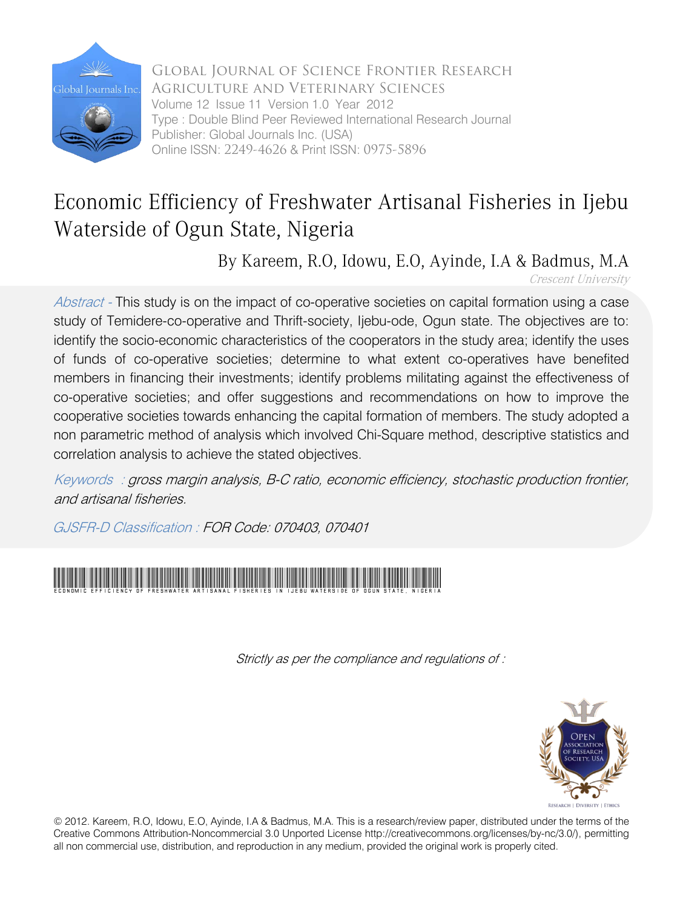

Global Journal of Science Frontier Research Agriculture and Veterinary Sciences Volume 12 Issue 11 Version 1.0 Year 2012 Type : Double Blind Peer Reviewed International Research Journal Publisher: Global Journals Inc. (USA) Online ISSN: 2249-4626 & Print ISSN: 0975-5896

## Economic Efficiency of Freshwater Artisanal Fisheries in Ijebu Waterside of Ogun State, Nigeria

By Kareem, R.O, Idowu, E.O, Ayinde, I.A & Badmus, M.A

Crescent University

Abstract - This study is on the impact of co-operative societies on capital formation using a case study of Temidere-co-operative and Thrift-society, Ijebu-ode, Ogun state. The objectives are to: identify the socio-economic characteristics of the cooperators in the study area; identify the uses of funds of co-operative societies; determine to what extent co-operatives have benefited members in financing their investments; identify problems militating against the effectiveness of co-operative societies; and offer suggestions and recommendations on how to improve the cooperative societies towards enhancing the capital formation of members. The study adopted a non parametric method of analysis which involved Chi-Square method, descriptive statistics and correlation analysis to achieve the stated objectives.

Keywords : gross margin analysis, B-C ratio, economic efficiency, stochastic production frontier, and artisanal fisheries.

GJSFR-D Classification : FOR Code: 070403, 070401



Strictly as per the compliance and regulations of :



© 2012. Kareem, R.O, Idowu, E.O, Ayinde, I.A & Badmus, M.A. This is a research/review paper, distributed under the terms of the Creative Commons Attribution-Noncommercial 3.0 Unported License http://creativecommons.org/licenses/by-nc/3.0/), permitting all non commercial use, distribution, and reproduction in any medium, provided the original work is properly cited.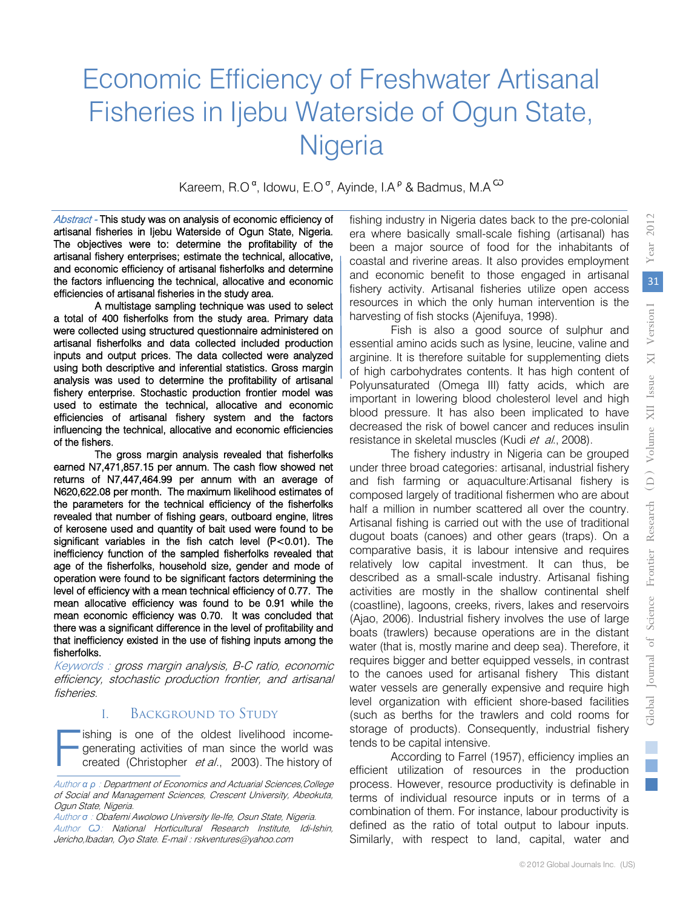# Economic Efficiency of Freshwater Artisanal Fisheries in Ijebu Waterside of Ogun State, **Nigeria**

Kareem, R.O<sup>a</sup>, Idowu, E.O<sup>o</sup>, Ayinde, I.A<sup>o</sup> & Badmus, M.A<sup>CO</sup>

Abstract - This study was on analysis of economic efficiency of artisanal fisheries in Ijebu Waterside of Ogun State, Nigeria. The objectives were to: determine the profitability of the artisanal fishery enterprises; estimate the technical, allocative, and economic efficiency of artisanal fisherfolks and determine the factors influencing the technical, allocative and economic efficiencies of artisanal fisheries in the study area.

A multistage sampling technique was used to select a total of 400 fisherfolks from the study area. Primary data were collected using structured questionnaire administered on artisanal fisherfolks and data collected included production inputs and output prices. The data collected were analyzed using both descriptive and inferential statistics. Gross margin analysis was used to determine the profitability of artisanal fishery enterprise. Stochastic production frontier model was used to estimate the technical, allocative and economic efficiencies of artisanal fishery system and the factors influencing the technical, allocative and economic efficiencies of the fishers.

The gross margin analysis revealed that fisherfolks earned N7,471,857.15 per annum. The cash flow showed net returns of N7,447,464.99 per annum with an average of N620,622.08 per month. The maximum likelihood estimates of the parameters for the technical efficiency of the fisherfolks revealed that number of fishing gears, outboard engine, litres of kerosene used and quantity of bait used were found to be significant variables in the fish catch level (P<0.01). The inefficiency function of the sampled fisherfolks revealed that age of the fisherfolks, household size, gender and mode of operation were found to be significant factors determining the level of efficiency with a mean technical efficiency of 0.77. The mean allocative efficiency was found to be 0.91 while the mean economic efficiency was 0.70. It was concluded that there was a significant difference in the level of profitability and that inefficiency existed in the use of fishing inputs among the fisherfolks.

Keywords : gross margin analysis, B-C ratio, economic efficiency, stochastic production frontier, and artisanal fisheries.

## I. Background to Study

ishing is one of the oldest livelihood incomegenerating activities of man since the world was created (Christopher et al., 2003). The history of F

fishing industry in Nigeria dates back to the pre-colonial era where basically small-scale fishing (artisanal) has been a major source of food for the inhabitants of coastal and riverine areas. It also provides employment and economic benefit to those engaged in artisanal fishery activity. Artisanal fisheries utilize open access resources in which the only human intervention is the harvesting of fish stocks (Ajenifuya, 1998).

Fish is also a good source of sulphur and essential amino acids such as lysine, leucine, valine and arginine. It is therefore suitable for supplementing diets of high carbohydrates contents. It has high content of Polyunsaturated (Omega III) fatty acids, which are important in lowering blood cholesterol level and high blood pressure. It has also been implicated to have decreased the risk of bowel cancer and reduces insulin resistance in skeletal muscles (Kudi et al., 2008).

The fishery industry in Nigeria can be grouped under three broad categories: artisanal, industrial fishery and fish farming or aquaculture:Artisanal fishery is composed largely of traditional fishermen who are about half a million in number scattered all over the country. Artisanal fishing is carried out with the use of traditional dugout boats (canoes) and other gears (traps). On a comparative basis, it is labour intensive and requires relatively low capital investment. It can thus, be described as a small-scale industry. Artisanal fishing activities are mostly in the shallow continental shelf (coastline), lagoons, creeks, rivers, lakes and reservoirs (Ajao, 2006). Industrial fishery involves the use of large boats (trawlers) because operations are in the distant water (that is, mostly marine and deep sea). Therefore, it requires bigger and better equipped vessels, in contrast to the canoes used for artisanal fishery This distant water vessels are generally expensive and require high level organization with efficient shore-based facilities (such as berths for the trawlers and cold rooms for storage of products). Consequently, industrial fishery tends to be capital intensive.

According to Farrel (1957), efficiency implies an efficient utilization of resources in the production process. However, resource productivity is definable in terms of individual resource inputs or in terms of a combination of them. For instance, labour productivity is defined as the ratio of total output to labour inputs. Similarly, with respect to land, capital, water and

Author *α ρ* : Department of Economics and Actuarial Sciences,College of Social and Management Sciences, Crescent University, Abeokuta, Ogun State, Nigeria.

Author *σ* : Obafemi Awolowo University Ile-Ife, Osun State, Nigeria. Author *Ѡ*: National Horticultural Research Institute, Idi-Ishin, Jericho, Ibadan, Oyo State. E-mail : rskventures@yahoo.com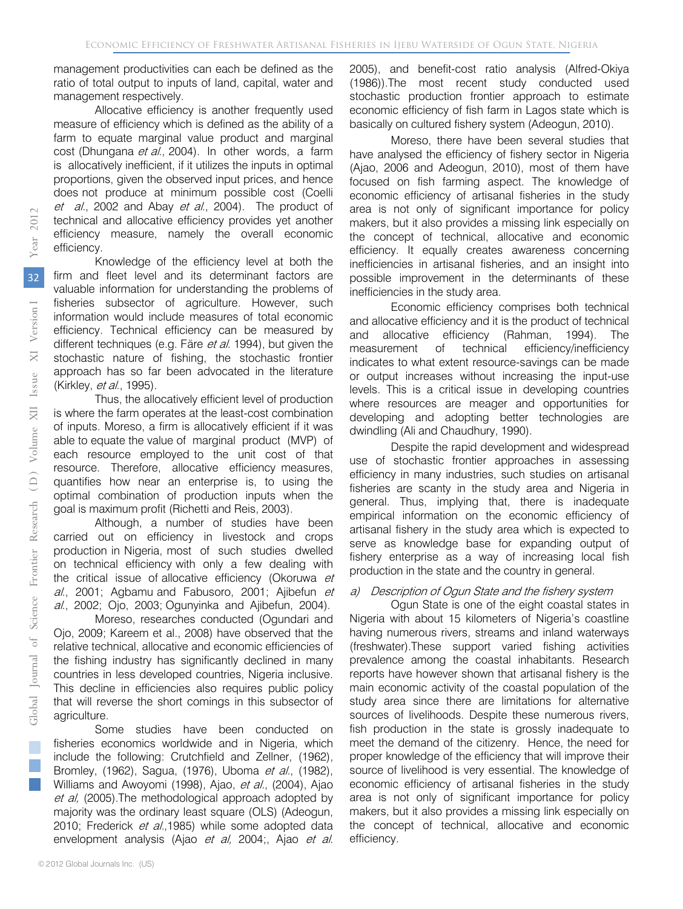management productivities can each be defined as the ratio of total output to inputs of land, capital, water and management respectively.

Allocative efficiency is another frequently used measure of efficiency which is defined as the ability of a farm to equate marginal value product and marginal cost (Dhungana et al., 2004). In other words, a farm is allocatively inefficient, if it utilizes the inputs in optimal proportions, given the observed input prices, and hence does not produce at minimum possible cost (Coelli et al., 2002 and Abay et al., 2004). The product of technical and allocative efficiency provides yet another efficiency measure, namely the overall economic efficiency.

Knowledge of the efficiency level at both the firm and fleet level and its determinant factors are valuable information for understanding the problems of fisheries subsector of agriculture. However, such information would include measures of total economic efficiency. Technical efficiency can be measured by different techniques (e.g. Färe et al. 1994), but given the stochastic nature of fishing, the stochastic frontier approach has so far been advocated in the literature (Kirkley, et al., 1995).

Thus, the allocatively efficient level of production is where the farm operates at the least-cost combination of inputs. Moreso, a firm is allocatively efficient if it was able to equate the value of marginal product (MVP) of each resource employed to the unit cost of that resource. Therefore, allocative efficiency measures, quantifies how near an enterprise is, to using the optimal combination of production inputs when the goal is maximum profit (Richetti and Reis, 2003).

Although, a number of studies have been carried out on efficiency in livestock and crops production in Nigeria, most of such studies dwelled on technical efficiency with only a few dealing with the critical issue of allocative efficiency (Okoruwa et al., 2001; Agbamu and Fabusoro, 2001; Ajibefun et al., 2002; Ojo, 2003; Ogunyinka and Ajibefun, 2004).

Moreso, researches conducted (Ogundari and Ojo, 2009; Kareem et al., 2008) have observed that the relative technical, allocative and economic efficiencies of the fishing industry has significantly declined in many countries in less developed countries, Nigeria inclusive. This decline in efficiencies also requires public policy that will reverse the short comings in this subsector of agriculture.

Some studies have been conducted on fisheries economics worldwide and in Nigeria, which include the following: Crutchfield and Zellner, (1962), Bromley, (1962), Sagua, (1976), Uboma et al., (1982), Williams and Awoyomi (1998), Ajao, et al., (2004), Ajao et al, (2005). The methodological approach adopted by majority was the ordinary least square (OLS) (Adeogun, 2010; Frederick et al., 1985) while some adopted data envelopment analysis (Ajao et al, 2004;, Ajao et al.

2005), and benefit-cost ratio analysis (Alfred-Okiya (1986)).The most recent study conducted used stochastic production frontier approach to estimate economic efficiency of fish farm in Lagos state which is basically on cultured fishery system (Adeogun, 2010).

Moreso, there have been several studies that have analysed the efficiency of fishery sector in Nigeria (Ajao, 2006 and Adeogun, 2010), most of them have focused on fish farming aspect. The knowledge of economic efficiency of artisanal fisheries in the study area is not only of significant importance for policy makers, but it also provides a missing link especially on the concept of technical, allocative and economic efficiency. It equally creates awareness concerning inefficiencies in artisanal fisheries, and an insight into possible improvement in the determinants of these inefficiencies in the study area.

Economic efficiency comprises both technical and allocative efficiency and it is the product of technical and allocative efficiency (Rahman, 1994). The measurement of technical efficiency/inefficiency indicates to what extent resource-savings can be made or output increases without increasing the input-use levels. This is a critical issue in developing countries where resources are meager and opportunities for developing and adopting better technologies are dwindling (Ali and Chaudhury, 1990).

Despite the rapid development and widespread use of stochastic frontier approaches in assessing efficiency in many industries, such studies on artisanal fisheries are scanty in the study area and Nigeria in general. Thus, implying that, there is inadequate empirical information on the economic efficiency of artisanal fishery in the study area which is expected to serve as knowledge base for expanding output of fishery enterprise as a way of increasing local fish production in the state and the country in general.

#### a) Description of Ogun State and the fishery system

Ogun State is one of the eight coastal states in Nigeria with about 15 kilometers of Nigeria's coastline having numerous rivers, streams and inland waterways (freshwater).These support varied fishing activities prevalence among the coastal inhabitants. Research reports have however shown that artisanal fishery is the main economic activity of the coastal population of the study area since there are limitations for alternative sources of livelihoods. Despite these numerous rivers, fish production in the state is grossly inadequate to meet the demand of the citizenry. Hence, the need for proper knowledge of the efficiency that will improve their source of livelihood is very essential. The knowledge of economic efficiency of artisanal fisheries in the study area is not only of significant importance for policy makers, but it also provides a missing link especially on the concept of technical, allocative and economic efficiency.

2012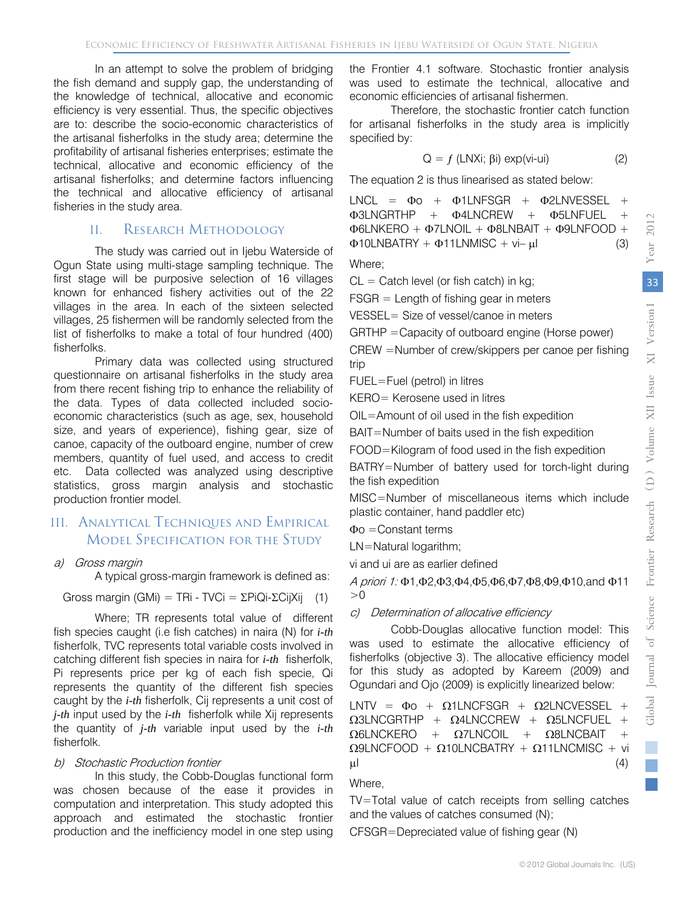In an attempt to solve the problem of bridging the fish demand and supply gap, the understanding of the knowledge of technical, allocative and economic efficiency is very essential. Thus, the specific objectives are to: describe the socio-economic characteristics of the artisanal fisherfolks in the study area; determine the profitability of artisanal fisheries enterprises; estimate the technical, allocative and economic efficiency of the artisanal fisherfolks; and determine factors influencing the technical and allocative efficiency of artisanal fisheries in the study area.

## II. RESEARCH METHODOLOGY

The study was carried out in Ijebu Waterside of Ogun State using multi-stage sampling technique. The first stage will be purposive selection of 16 villages known for enhanced fishery activities out of the 22 villages in the area. In each of the sixteen selected villages, 25 fishermen will be randomly selected from the list of fisherfolks to make a total of four hundred (400) fisherfolks.

Primary data was collected using structured questionnaire on artisanal fisherfolks in the study area from there recent fishing trip to enhance the reliability of the data. Types of data collected included socioeconomic characteristics (such as age, sex, household size, and years of experience), fishing gear, size of canoe, capacity of the outboard engine, number of crew members, quantity of fuel used, and access to credit etc. Data collected was analyzed using descriptive statistics, gross margin analysis and stochastic production frontier model.

## III. Analytical Techniques and Empirical Model Specification for the Study

## a) Gross margin

A typical gross-margin framework is defined as:

Gross margin (GMi) = TRi - TVCi = 
$$
\Sigma
$$
PiQi- $\Sigma$ CijXij (1)

Where; TR represents total value of different fish species caught (i.e fish catches) in naira (N) for *i-th* fisherfolk, TVC represents total variable costs involved in catching different fish species in naira for *i-th* fisherfolk, Pi represents price per kg of each fish specie, Qi represents the quantity of the different fish species caught by the *i-th* fisherfolk, Cij represents a unit cost of *j-th* input used by the *i-th* fisherfolk while Xij represents the quantity of *j-th* variable input used by the *i-th* fisherfolk.

## b) Stochastic Production frontier

In this study, the Cobb-Douglas functional form was chosen because of the ease it provides in computation and interpretation. This study adopted this approach and estimated the stochastic frontier production and the inefficiency model in one step using

the Frontier 4.1 software. Stochastic frontier analysis was used to estimate the technical, allocative and economic efficiencies of artisanal fishermen.

Therefore, the stochastic frontier catch function for artisanal fisherfolks in the study area is implicitly specified by:

$$
Q = f (LNXi; \beta i) \exp(vi - ui)
$$
 (2)

The equation 2 is thus linearised as stated below:

LNCL =  $\Phi$ o +  $\Phi$ 1LNFSGR +  $\Phi$ 2LNVESSEL +  $\Phi$ 3LNGRTHP +  $\Phi$ 4LNCREW +  $\Phi$ 5LNFUEL Φ6LNKERO + Φ7LNOIL + Φ8LNBAIT + Φ9LNFOOD +  $\Phi$ 10LNBATRY +  $\Phi$ 11LNMISC + vi– ul (3)

Where;

 $CL =$  Catch level (or fish catch) in kg;

FSGR = Length of fishing gear in meters

VESSEL= Size of vessel/canoe in meters

GRTHP =Capacity of outboard engine (Horse power)

CREW =Number of crew/skippers per canoe per fishing trip

FUEL=Fuel (petrol) in litres

KERO= Kerosene used in litres

OIL=Amount of oil used in the fish expedition

BAIT=Number of baits used in the fish expedition

FOOD=Kilogram of food used in the fish expedition

BATRY=Number of battery used for torch-light during the fish expedition

MISC=Number of miscellaneous items which include plastic container, hand paddler etc)

Φo =Constant terms

LN=Natural logarithm;

vi and ui are as earlier defined

A priori 1: Φ1,Φ2,Φ3,Φ4,Φ5,Φ6,Φ7,Φ8,Φ9,Φ10,and Φ11  $>0$ 

## c) Determination of allocative efficiency

Cobb-Douglas allocative function model: This was used to estimate the allocative efficiency of fisherfolks (objective 3). The allocative efficiency model for this study as adopted by Kareem (2009) and Ogundari and Ojo (2009) is explicitly linearized below:

LNTV =  $\Phi$ o +  $\Omega$ 1LNCFSGR +  $\Omega$ 2LNCVESSEL +  $\Omega$ 3LNCGRTHP +  $\Omega$ 4LNCCREW +  $\Omega$ 5LNCFUEL +  $\Omega$ 6LNCKERO +  $\Omega$ 7LNCOIL +  $\Omega$ 8LNCBAIT  $Ω9LNCFOOD + Ω10LNCBATRY + Ω11LNCMISC + *vi*$  $\mu$ I (4)

## Where,

TV=Total value of catch receipts from selling catches and the values of catches consumed (N);

CFSGR=Depreciated value of fishing gear (N)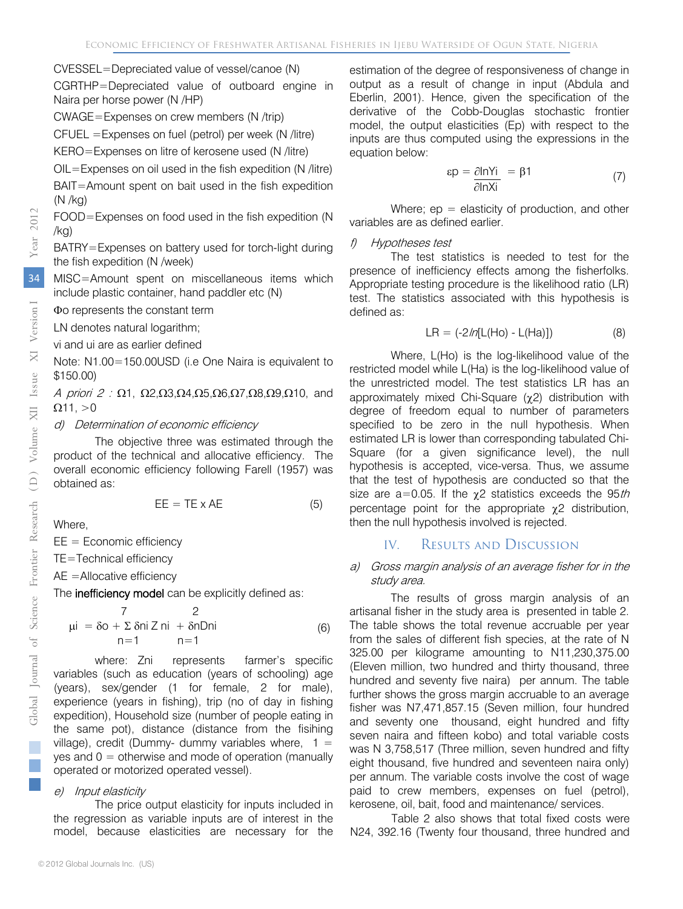CVESSEL=Depreciated value of vessel/canoe (N)

CGRTHP=Depreciated value of outboard engine in Naira per horse power (N /HP)

CWAGE=Expenses on crew members (N /trip)

CFUEL =Expenses on fuel (petrol) per week (N /litre)

KERO=Expenses on litre of kerosene used (N /litre)

OIL=Expenses on oil used in the fish expedition (N /litre)

BAIT=Amount spent on bait used in the fish expedition (N /kg)

FOOD=Expenses on food used in the fish expedition (N /kg)

BATRY=Expenses on battery used for torch-light during the fish expedition (N /week)

MISC=Amount spent on miscellaneous items which include plastic container, hand paddler etc (N)

Φo represents the constant term

LN denotes natural logarithm;

vi and ui are as earlier defined

Note: N1.00=150.00USD (i.e One Naira is equivalent to \$150.00)

A priori 2 :  $\Omega$ 1,  $\Omega$ 2, $\Omega$ 3, $\Omega$ 4, $\Omega$ 5, $\Omega$ 6, $\Omega$ 7, $\Omega$ 8, $\Omega$ 9, $\Omega$ 10, and  $Ω11, >0$ 

d) Determination of economic efficiency

The objective three was estimated through the product of the technical and allocative efficiency. The overall economic efficiency following Farell (1957) was obtained as:

$$
EE = TE \times AE \tag{5}
$$

Where,

 $EE = Economic efficiency$ 

TE=Technical efficiency

AE =Allocative efficiency

The inefficiency model can be explicitly defined as:

$$
\mu i = \delta o + \sum \delta n i \, Z \, ni + \delta n \, D \, ni
$$
\n
$$
n = 1 \qquad n = 1 \tag{6}
$$

where: Zni represents farmer's specific variables (such as education (years of schooling) age (years), sex/gender (1 for female, 2 for male), experience (years in fishing), trip (no of day in fishing expedition), Household size (number of people eating in the same pot), distance (distance from the fisihing village), credit (Dummy- dummy variables where,  $1 =$ yes and  $0 =$  otherwise and mode of operation (manually operated or motorized operated vessel).

#### e) Input elasticity

The price output elasticity for inputs included in the regression as variable inputs are of interest in the model, because elasticities are necessary for the estimation of the degree of responsiveness of change in output as a result of change in input (Abdula and Eberlin, 2001). Hence, given the specification of the derivative of the Cobb-Douglas stochastic frontier model, the output elasticities (Ep) with respect to the inputs are thus computed using the expressions in the equation below:

$$
\varepsilon p = \frac{\partial \ln Yi}{\partial \ln Xi} = \beta 1 \tag{7}
$$

Where;  $ep =$  elasticity of production, and other variables are as defined earlier.

#### f) Hypotheses test

The test statistics is needed to test for the presence of inefficiency effects among the fisherfolks. Appropriate testing procedure is the likelihood ratio (LR) test. The statistics associated with this hypothesis is defined as:

$$
LR = (-2/n[L(Ho) - L(Ha)])
$$
 (8)

Where, L(Ho) is the log-likelihood value of the restricted model while L(Ha) is the log-likelihood value of the unrestricted model. The test statistics LR has an approximately mixed Chi-Square (χ2) distribution with degree of freedom equal to number of parameters specified to be zero in the null hypothesis. When estimated LR is lower than corresponding tabulated Chi-Square (for a given significance level), the null hypothesis is accepted, vice-versa. Thus, we assume that the test of hypothesis are conducted so that the size are a=0.05. If the  $\chi$ 2 statistics exceeds the 95th percentage point for the appropriate χ2 distribution, then the null hypothesis involved is rejected.

## IV. Results and Discussion

#### a) Gross margin analysis of an average fisher for in the study area.

The results of gross margin analysis of an artisanal fisher in the study area is presented in table 2. The table shows the total revenue accruable per year from the sales of different fish species, at the rate of N 325.00 per kilograme amounting to N11,230,375.00 (Eleven million, two hundred and thirty thousand, three hundred and seventy five naira) per annum. The table further shows the gross margin accruable to an average fisher was N7,471,857.15 (Seven million, four hundred and seventy one thousand, eight hundred and fifty seven naira and fifteen kobo) and total variable costs was N 3,758,517 (Three million, seven hundred and fifty eight thousand, five hundred and seventeen naira only) per annum. The variable costs involve the cost of wage paid to crew members, expenses on fuel (petrol), kerosene, oil, bait, food and maintenance/ services.

Table 2 also shows that total fixed costs were N24, 392.16 (Twenty four thousand, three hundred and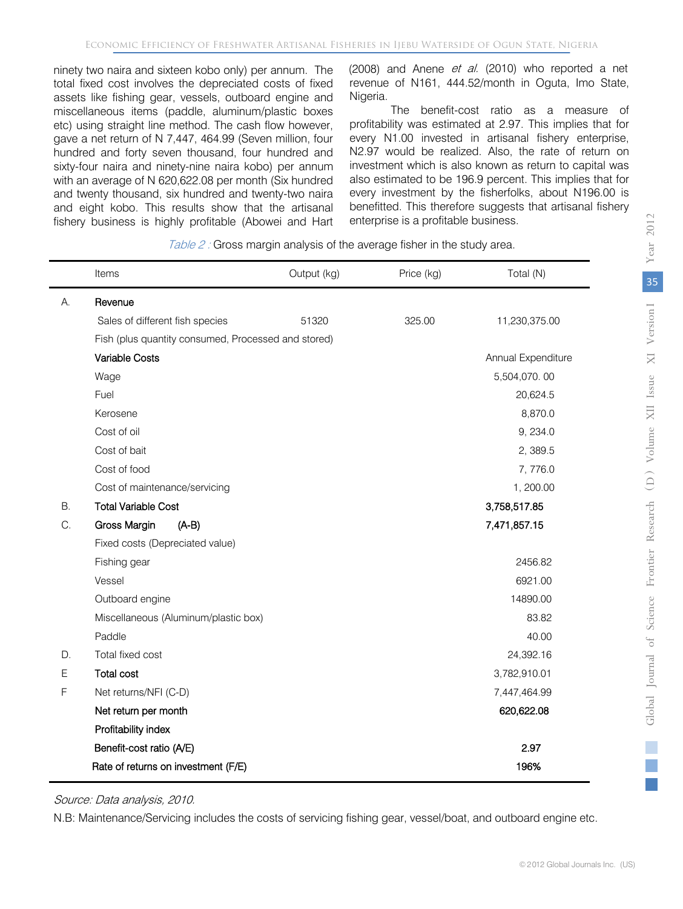ninety two naira and sixteen kobo only) per annum. The total fixed cost involves the depreciated costs of fixed assets like fishing gear, vessels, outboard engine and miscellaneous items (paddle, aluminum/plastic boxes etc) using straight line method. The cash flow however, gave a net return of N 7,447, 464.99 (Seven million, four hundred and forty seven thousand, four hundred and sixty-four naira and ninety-nine naira kobo) per annum with an average of N 620,622.08 per month (Six hundred and twenty thousand, six hundred and twenty-two naira and eight kobo. This results show that the artisanal fishery business is highly profitable (Abowei and Hart (2008) and Anene et al. (2010) who reported a net revenue of N161, 444.52/month in Oguta, Imo State, Nigeria.

The benefit-cost ratio as a measure of profitability was estimated at 2.97. This implies that for every N1.00 invested in artisanal fishery enterprise, N2.97 would be realized. Also, the rate of return on investment which is also known as return to capital was also estimated to be 196.9 percent. This implies that for every investment by the fisherfolks, about N196.00 is benefitted. This therefore suggests that artisanal fishery enterprise is a profitable business.

Table 2: Gross margin analysis of the average fisher in the study area.

|    | Items                                               | Output (kg) | Price (kg) | Total (N)          |
|----|-----------------------------------------------------|-------------|------------|--------------------|
| А. | Revenue                                             |             |            |                    |
|    | Sales of different fish species                     | 51320       | 325.00     | 11,230,375.00      |
|    | Fish (plus quantity consumed, Processed and stored) |             |            |                    |
|    | Variable Costs                                      |             |            | Annual Expenditure |
|    | Wage                                                |             |            | 5,504,070.00       |
|    | Fuel                                                |             |            | 20,624.5           |
|    | Kerosene                                            |             |            | 8,870.0            |
|    | Cost of oil                                         |             |            | 9, 234.0           |
|    | Cost of bait                                        |             |            | 2,389.5            |
|    | Cost of food                                        |             |            | 7,776.0            |
|    | Cost of maintenance/servicing                       |             |            | 1, 200.00          |
| В. | <b>Total Variable Cost</b>                          |             |            | 3,758,517.85       |
| C. | Gross Margin<br>$(A-B)$                             |             |            | 7,471,857.15       |
|    | Fixed costs (Depreciated value)                     |             |            |                    |
|    | Fishing gear                                        |             |            | 2456.82            |
|    | Vessel                                              |             |            | 6921.00            |
|    | Outboard engine                                     |             |            | 14890.00           |
|    | Miscellaneous (Aluminum/plastic box)                |             |            | 83.82              |
|    | Paddle                                              |             |            | 40.00              |
| D. | Total fixed cost                                    |             |            | 24,392.16          |
| E  | <b>Total cost</b>                                   |             |            | 3,782,910.01       |
| F  | Net returns/NFI (C-D)                               |             |            | 7,447,464.99       |
|    | Net return per month                                |             |            | 620,622.08         |
|    | Profitability index                                 |             |            |                    |
|    | Benefit-cost ratio (A/E)                            |             |            | 2.97               |
|    | Rate of returns on investment (F/E)                 |             |            | 196%               |

Source: Data analysis, 2010.

N.B: Maintenance/Servicing includes the costs of servicing fishing gear, vessel/boat, and outboard engine etc.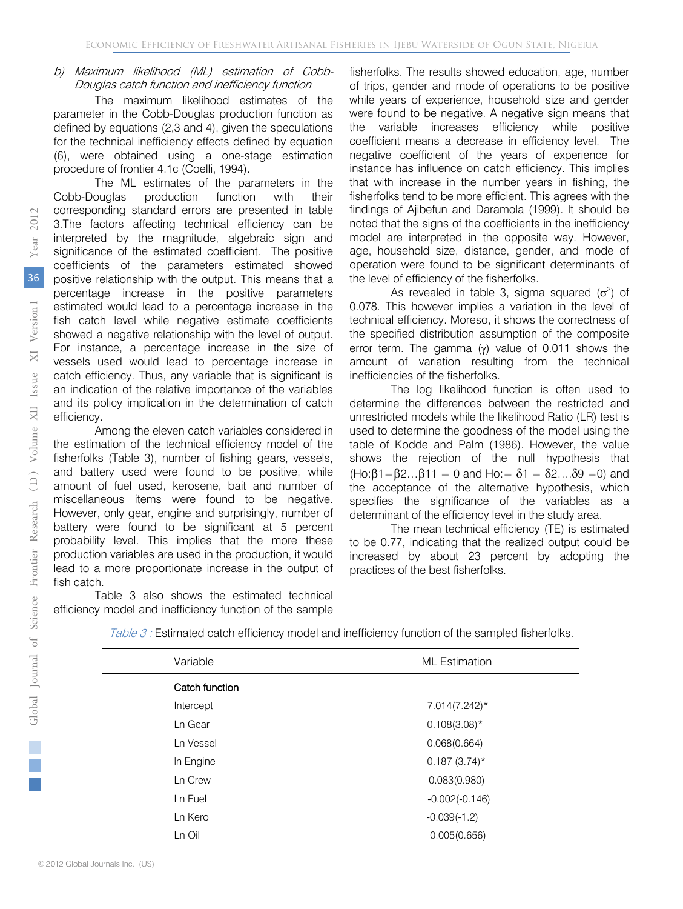#### b) Maximum likelihood (ML) estimation of Cobb-Douglas catch function and inefficiency function

The maximum likelihood estimates of the parameter in the Cobb-Douglas production function as defined by equations (2,3 and 4), given the speculations for the technical inefficiency effects defined by equation (6), were obtained using a one-stage estimation procedure of frontier 4.1c (Coelli, 1994).

The ML estimates of the parameters in the Cobb-Douglas production function with their corresponding standard errors are presented in table 3.The factors affecting technical efficiency can be interpreted by the magnitude, algebraic sign and significance of the estimated coefficient. The positive coefficients of the parameters estimated showed positive relationship with the output. This means that a percentage increase in the positive parameters estimated would lead to a percentage increase in the fish catch level while negative estimate coefficients showed a negative relationship with the level of output. For instance, a percentage increase in the size of vessels used would lead to percentage increase in catch efficiency. Thus, any variable that is significant is an indication of the relative importance of the variables and its policy implication in the determination of catch efficiency.

Among the eleven catch variables considered in the estimation of the technical efficiency model of the fisherfolks (Table 3), number of fishing gears, vessels, and battery used were found to be positive, while amount of fuel used, kerosene, bait and number of miscellaneous items were found to be negative. However, only gear, engine and surprisingly, number of battery were found to be significant at 5 percent probability level. This implies that the more these production variables are used in the production, it would lead to a more proportionate increase in the output of fish catch.

Table 3 also shows the estimated technical efficiency model and inefficiency function of the sample

fisherfolks. The results showed education, age, number of trips, gender and mode of operations to be positive while years of experience, household size and gender were found to be negative. A negative sign means that the variable increases efficiency while positive coefficient means a decrease in efficiency level. The negative coefficient of the years of experience for instance has influence on catch efficiency. This implies that with increase in the number years in fishing, the fisherfolks tend to be more efficient. This agrees with the findings of Ajibefun and Daramola (1999). It should be noted that the signs of the coefficients in the inefficiency model are interpreted in the opposite way. However, age, household size, distance, gender, and mode of operation were found to be significant determinants of the level of efficiency of the fisherfolks.

As revealed in table 3, sigma squared  $(\sigma^2)$  of 0.078. This however implies a variation in the level of technical efficiency. Moreso, it shows the correctness of the specified distribution assumption of the composite error term. The gamma (γ) value of 0.011 shows the amount of variation resulting from the technical inefficiencies of the fisherfolks.

The log likelihood function is often used to determine the differences between the restricted and unrestricted models while the likelihood Ratio (LR) test is used to determine the goodness of the model using the table of Kodde and Palm (1986). However, the value shows the rejection of the null hypothesis that (Ho: $\beta$ 1= $\beta$ 2... $\beta$ 11 = 0 and Ho:=  $\delta$ 1 =  $\delta$ 2.... $\delta$ 9 = 0) and the acceptance of the alternative hypothesis, which specifies the significance of the variables as a determinant of the efficiency level in the study area.

The mean technical efficiency (TE) is estimated to be 0.77, indicating that the realized output could be increased by about 23 percent by adopting the practices of the best fisherfolks.

| Variable       | <b>ML</b> Estimation |  |
|----------------|----------------------|--|
| Catch function |                      |  |
| Intercept      | $7.014(7.242)^*$     |  |
| Ln Gear        | $0.108(3.08)^*$      |  |
| Ln Vessel      | 0.068(0.664)         |  |
| In Engine      | $0.187(3.74)$ *      |  |
| Ln Crew        | 0.083(0.980)         |  |
| Ln Fuel        | $-0.002(-0.146)$     |  |
| Ln Kero        | $-0.039(-1.2)$       |  |
| Ln Oil         | 0.005(0.656)         |  |
|                |                      |  |

Table 3: Estimated catch efficiency model and inefficiency function of the sampled fisherfolks.

Research

Frontier

Global Journal of Science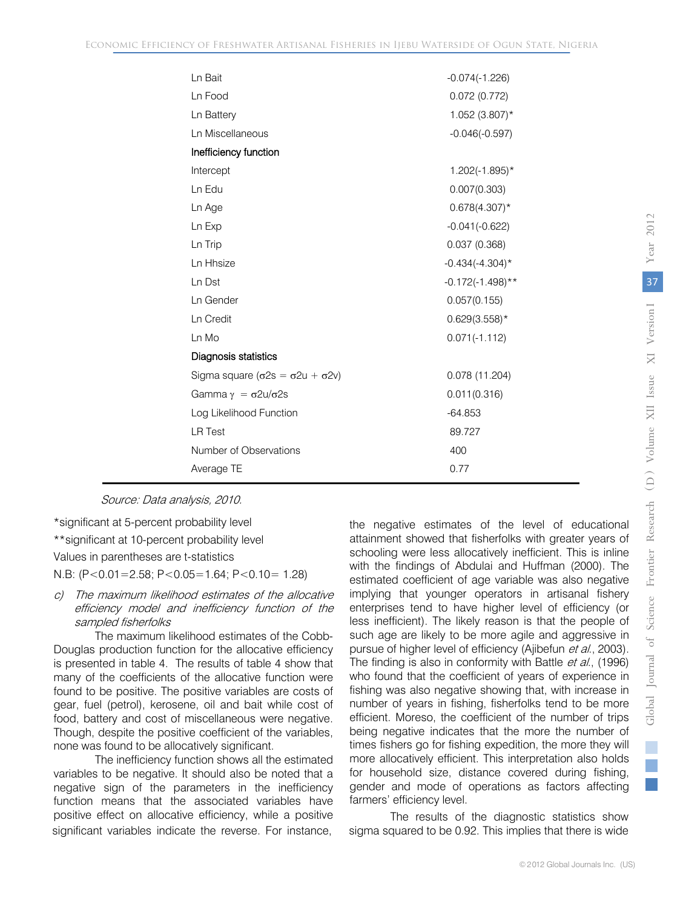| Ln Bait                                            | $-0.074(-1.226)$    |
|----------------------------------------------------|---------------------|
| Ln Food                                            | 0.072(0.772)        |
| Ln Battery                                         | 1.052 (3.807)*      |
| Ln Miscellaneous                                   | $-0.046(-0.597)$    |
| Inefficiency function                              |                     |
| Intercept                                          | $1.202(-1.895)^*$   |
| Ln Edu                                             | 0.007(0.303)        |
| Ln Age                                             | $0.678(4.307)^*$    |
| Ln Exp                                             | $-0.041(-0.622)$    |
| Ln Trip                                            | 0.037(0.368)        |
| Ln Hhsize                                          | $-0.434(-4.304)^*$  |
| Ln Dst                                             | $-0.172(-1.498)$ ** |
| Ln Gender                                          | 0.057(0.155)        |
| Ln Credit                                          | $0.629(3.558)$ *    |
| Ln Mo                                              | $0.071(-1.112)$     |
| Diagnosis statistics                               |                     |
| Sigma square $(\sigma 2s = \sigma 2u + \sigma 2v)$ | 0.078 (11.204)      |
| Gamma $\gamma = \sigma 2u/\sigma 2s$               | 0.011(0.316)        |
| Log Likelihood Function                            | $-64.853$           |
| <b>LR Test</b>                                     | 89.727              |
| Number of Observations                             | 400                 |
| Average TE                                         | 0.77                |

Source: Data analysis, 2010.

\*significant at 5-percent probability level

\*\*significant at 10-percent probability level

Values in parentheses are t-statistics

N.B: (P<0.01=2.58; P<0.05=1.64; P<0.10= 1.28)

c) The maximum likelihood estimates of the allocative efficiency model and inefficiency function of the sampled fisherfolks

The maximum likelihood estimates of the Cobb-Douglas production function for the allocative efficiency is presented in table 4. The results of table 4 show that many of the coefficients of the allocative function were found to be positive. The positive variables are costs of gear, fuel (petrol), kerosene, oil and bait while cost of food, battery and cost of miscellaneous were negative. Though, despite the positive coefficient of the variables, none was found to be allocatively significant.

The inefficiency function shows all the estimated variables to be negative. It should also be noted that a negative sign of the parameters in the inefficiency function means that the associated variables have positive effect on allocative efficiency, while a positive significant variables indicate the reverse. For instance,

the negative estimates of the level of educational attainment showed that fisherfolks with greater years of schooling were less allocatively inefficient. This is inline with the findings of Abdulai and Huffman (2000). The estimated coefficient of age variable was also negative implying that younger operators in artisanal fishery enterprises tend to have higher level of efficiency (or less inefficient). The likely reason is that the people of such age are likely to be more agile and aggressive in pursue of higher level of efficiency (Ajibefun et al., 2003). The finding is also in conformity with Battle et al., (1996) who found that the coefficient of years of experience in fishing was also negative showing that, with increase in number of years in fishing, fisherfolks tend to be more efficient. Moreso, the coefficient of the number of trips being negative indicates that the more the number of times fishers go for fishing expedition, the more they will more allocatively efficient. This interpretation also holds for household size, distance covered during fishing, gender and mode of operations as factors affecting farmers' efficiency level.

The results of the diagnostic statistics show sigma squared to be 0.92. This implies that there is wide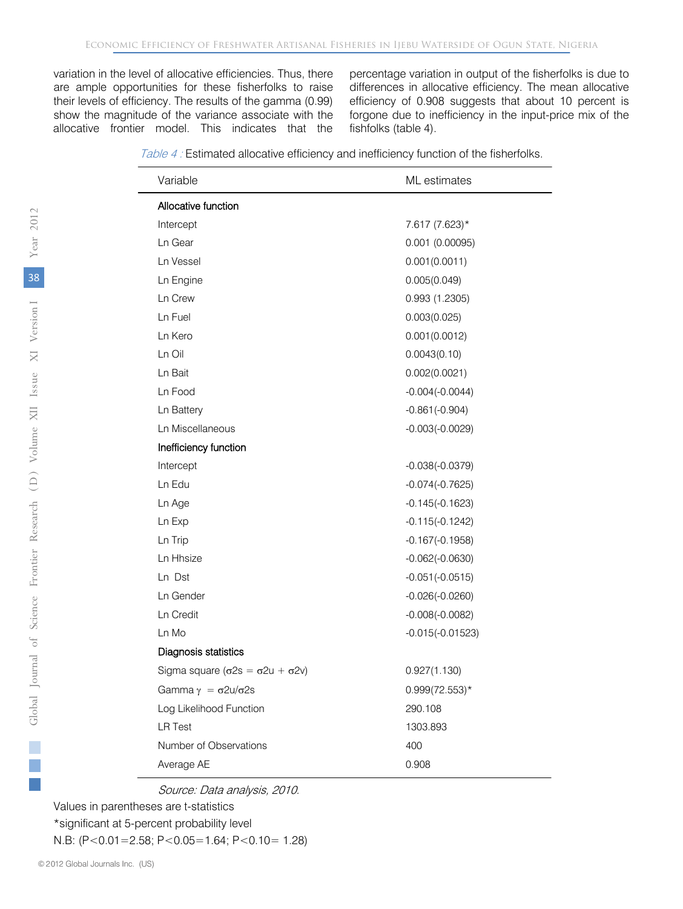variation in the level of allocative efficiencies. Thus, there are ample opportunities for these fisherfolks to raise their levels of efficiency. The results of the gamma (0.99) show the magnitude of the variance associate with the allocative frontier model. This indicates that the

percentage variation in output of the fisherfolks is due to differences in allocative efficiency. The mean allocative efficiency of 0.908 suggests that about 10 percent is forgone due to inefficiency in the input-price mix of the fishfolks (table 4).

| Table 4: Estimated allocative efficiency and inefficiency function of the fisherfolks. |
|----------------------------------------------------------------------------------------|
|----------------------------------------------------------------------------------------|

| Variable                                           | ML estimates       |
|----------------------------------------------------|--------------------|
| Allocative function                                |                    |
| Intercept                                          | 7.617 (7.623)*     |
| Ln Gear                                            | 0.001(0.00095)     |
| Ln Vessel                                          | 0.001(0.0011)      |
| Ln Engine                                          | 0.005(0.049)       |
| Ln Crew                                            | 0.993 (1.2305)     |
| Ln Fuel                                            | 0.003(0.025)       |
| Ln Kero                                            | 0.001(0.0012)      |
| Ln Oil                                             | 0.0043(0.10)       |
| Ln Bait                                            | 0.002(0.0021)      |
| Ln Food                                            | $-0.004(-0.0044)$  |
| Ln Battery                                         | $-0.861(-0.904)$   |
| Ln Miscellaneous                                   | $-0.003(-0.0029)$  |
| Inefficiency function                              |                    |
| Intercept                                          | $-0.038(-0.0379)$  |
| Ln Edu                                             | $-0.074(-0.7625)$  |
| Ln Age                                             | $-0.145(-0.1623)$  |
| Ln Exp                                             | $-0.115(-0.1242)$  |
| Ln Trip                                            | $-0.167(-0.1958)$  |
| Ln Hhsize                                          | $-0.062(-0.0630)$  |
| Ln Dst                                             | $-0.051(-0.0515)$  |
| Ln Gender                                          | $-0.026(-0.0260)$  |
| Ln Credit                                          | $-0.008(-0.0082)$  |
| Ln Mo                                              | $-0.015(-0.01523)$ |
| Diagnosis statistics                               |                    |
| Sigma square $(\sigma 2s = \sigma 2u + \sigma 2v)$ | 0.927(1.130)       |
| Gamma $\gamma = \sigma 2u/\sigma 2s$               | $0.999(72.553)*$   |
| Log Likelihood Function                            | 290.108            |
| <b>LR Test</b>                                     | 1303.893           |
| Number of Observations                             | 400                |
| Average AE                                         | 0.908              |

Source: Data analysis, 2010.

Values in parentheses are t-statistics \*significant at 5-percent probability level

N.B: (P<0.01=2.58; P<0.05=1.64; P<0.10= 1.28)

e.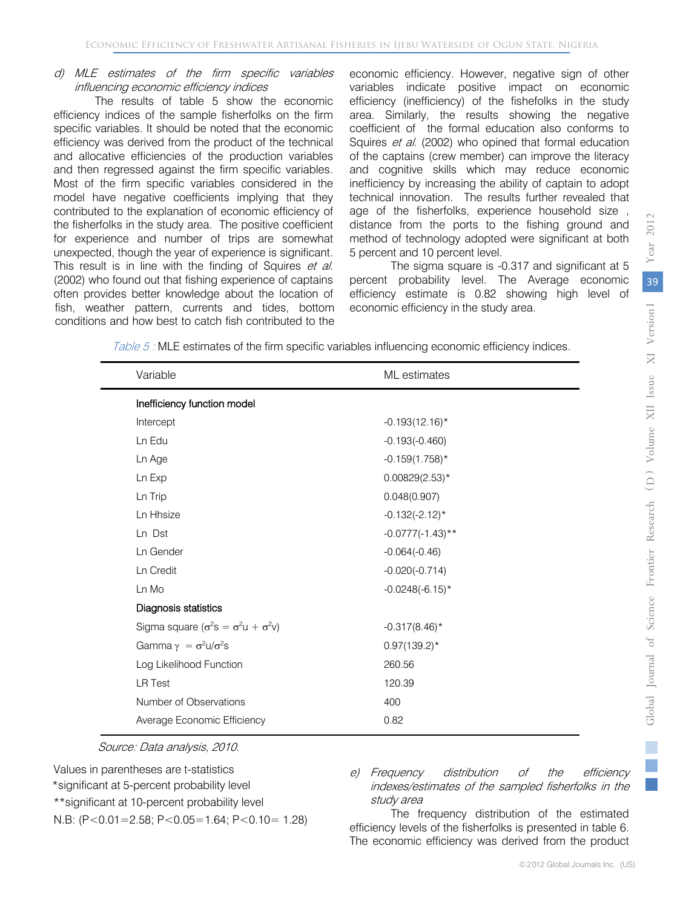#### d) MLE estimates of the firm specific variables influencing economic efficiency indices

The results of table 5 show the economic efficiency indices of the sample fisherfolks on the firm specific variables. It should be noted that the economic efficiency was derived from the product of the technical and allocative efficiencies of the production variables and then regressed against the firm specific variables. Most of the firm specific variables considered in the model have negative coefficients implying that they contributed to the explanation of economic efficiency of the fisherfolks in the study area. The positive coefficient for experience and number of trips are somewhat unexpected, though the year of experience is significant. This result is in line with the finding of Squires et al. (2002) who found out that fishing experience of captains often provides better knowledge about the location of fish, weather pattern, currents and tides, bottom conditions and how best to catch fish contributed to the economic efficiency. However, negative sign of other variables indicate positive impact on economic efficiency (inefficiency) of the fishefolks in the study area. Similarly, the results showing the negative coefficient of the formal education also conforms to Squires et al. (2002) who opined that formal education of the captains (crew member) can improve the literacy and cognitive skills which may reduce economic inefficiency by increasing the ability of captain to adopt technical innovation. The results further revealed that age of the fisherfolks, experience household size , distance from the ports to the fishing ground and method of technology adopted were significant at both 5 percent and 10 percent level.

The sigma square is -0.317 and significant at 5 percent probability level. The Average economic efficiency estimate is 0.82 showing high level of economic efficiency in the study area.

Table 5 : MLE estimates of the firm specific variables influencing economic efficiency indices.

| Variable                                              | ML estimates        |  |  |
|-------------------------------------------------------|---------------------|--|--|
| Inefficiency function model                           |                     |  |  |
| Intercept                                             | $-0.193(12.16)$ *   |  |  |
| Ln Edu                                                | $-0.193(-0.460)$    |  |  |
| Ln Age                                                | $-0.159(1.758)^*$   |  |  |
| Ln Exp                                                | $0.00829(2.53)*$    |  |  |
| Ln Trip                                               | 0.048(0.907)        |  |  |
| Ln Hhsize                                             | $-0.132(-2.12)^*$   |  |  |
| Ln Dst                                                | $-0.0777(-1.43)$ ** |  |  |
| Ln Gender                                             | $-0.064(-0.46)$     |  |  |
| Ln Credit                                             | $-0.020(-0.714)$    |  |  |
| Ln Mo                                                 | $-0.0248(-6.15)^*$  |  |  |
| Diagnosis statistics                                  |                     |  |  |
| Sigma square $(\sigma^2 s = \sigma^2 u + \sigma^2 v)$ | $-0.317(8.46)$ *    |  |  |
| Gamma $\gamma = \sigma^2 u / \sigma^2 s$              | $0.97(139.2)^*$     |  |  |
| Log Likelihood Function                               | 260.56              |  |  |
| <b>LR Test</b>                                        | 120.39              |  |  |
| Number of Observations                                | 400                 |  |  |
| Average Economic Efficiency                           | 0.82                |  |  |
|                                                       |                     |  |  |

Source: Data analysis, 2010.

Values in parentheses are t-statistics \*significant at 5-percent probability level \*\*significant at 10-percent probability level N.B: (P<0.01=2.58; P<0.05=1.64; P<0.10= 1.28)

e) Frequency distribution of the efficiency indexes/estimates of the sampled fisherfolks in the study area

The frequency distribution of the estimated efficiency levels of the fisherfolks is presented in table 6. The economic efficiency was derived from the product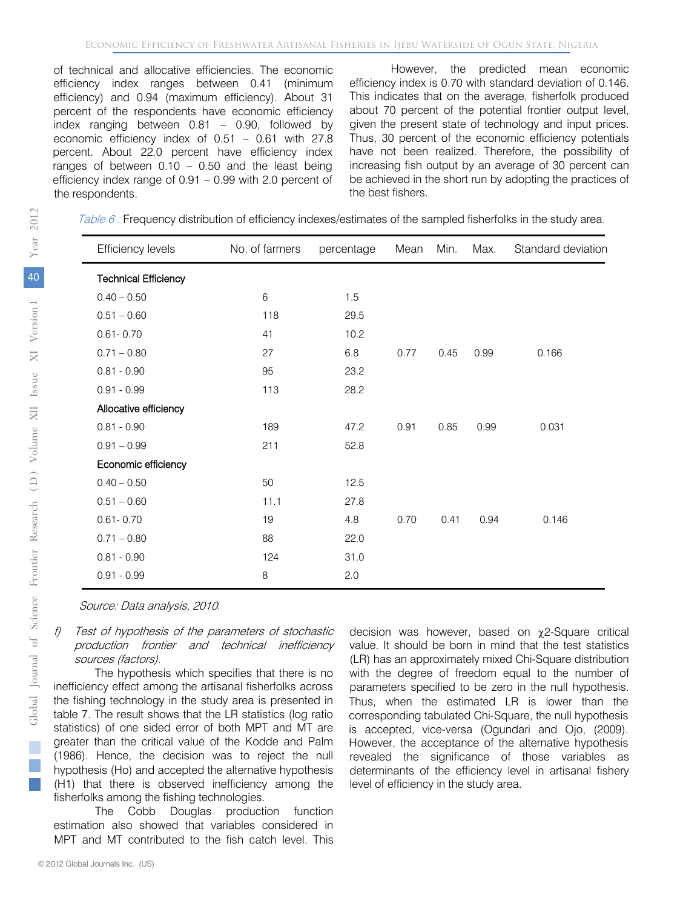of technical and allocative efficiencies. The economic efficiency index ranges between 0.41 (minimum efficiency) and 0.94 (maximum efficiency). About 31 percent of the respondents have economic efficiency index ranging between 0.81 – 0.90, followed by economic efficiency index of 0.51 – 0.61 with 27.8 percent. About 22.0 percent have efficiency index ranges of between  $0.10 - 0.50$  and the least being efficiency index range of 0.91 – 0.99 with 2.0 percent of the respondents.

However, the predicted mean economic efficiency index is 0.70 with standard deviation of 0.146. This indicates that on the average, fisherfolk produced about 70 percent of the potential frontier output level, given the present state of technology and input prices. Thus, 30 percent of the economic efficiency potentials have not been realized. Therefore, the possibility of increasing fish output by an average of 30 percent can be achieved in the short run by adopting the practices of the best fishers.

Table 6: Frequency distribution of efficiency indexes/estimates of the sampled fisherfolks in the study area.

| <b>Efficiency levels</b>    | No. of farmers | percentage | Mean | Min. | Max. | Standard deviation |
|-----------------------------|----------------|------------|------|------|------|--------------------|
| <b>Technical Efficiency</b> |                |            |      |      |      |                    |
| $0.40 - 0.50$               | 6              | 1.5        |      |      |      |                    |
| $0.51 - 0.60$               | 118            | 29.5       |      |      |      |                    |
| $0.61 - 0.70$               | 41             | 10.2       |      |      |      |                    |
| $0.71 - 0.80$               | 27             | 6.8        | 0.77 | 0.45 | 0.99 | 0.166              |
| $0.81 - 0.90$               | 95             | 23.2       |      |      |      |                    |
| $0.91 - 0.99$               | 113            | 28.2       |      |      |      |                    |
| Allocative efficiency       |                |            |      |      |      |                    |
| $0.81 - 0.90$               | 189            | 47.2       | 0.91 | 0.85 | 0.99 | 0.031              |
| $0.91 - 0.99$               | 211            | 52.8       |      |      |      |                    |
| Economic efficiency         |                |            |      |      |      |                    |
| $0.40 - 0.50$               | 50             | 12.5       |      |      |      |                    |
| $0.51 - 0.60$               | 11.1           | 27.8       |      |      |      |                    |
| $0.61 - 0.70$               | 19             | 4.8        | 0.70 | 0.41 | 0.94 | 0.146              |
| $0.71 - 0.80$               | 88             | 22.0       |      |      |      |                    |
| $0.81 - 0.90$               | 124            | 31.0       |      |      |      |                    |
| $0.91 - 0.99$               | 8              | 2.0        |      |      |      |                    |

Source: Data analysis, 2010.

#### Test of hypothesis of the parameters of stochastic production frontier and technical inefficiency sources (factors).

The hypothesis which specifies that there is no inefficiency effect among the artisanal fisherfolks across the fishing technology in the study area is presented in table 7. The result shows that the LR statistics (log ratio statistics) of one sided error of both MPT and MT are greater than the critical value of the Kodde and Palm (1986). Hence, the decision was to reject the null hypothesis (Ho) and accepted the alternative hypothesis (H1) that there is observed inefficiency among the fisherfolks among the fishing technologies.

The Cobb Douglas production function estimation also showed that variables considered in MPT and MT contributed to the fish catch level. This

decision was however, based on χ2-Square critical value. It should be born in mind that the test statistics (LR) has an approximately mixed Chi-Square distribution with the degree of freedom equal to the number of parameters specified to be zero in the null hypothesis. Thus, when the estimated LR is lower than the corresponding tabulated Chi-Square, the null hypothesis is accepted, vice-versa (Ogundari and Ojo, (2009). However, the acceptance of the alternative hypothesis revealed the significance of those variables as determinants of the efficiency level in artisanal fishery level of efficiency in the study area.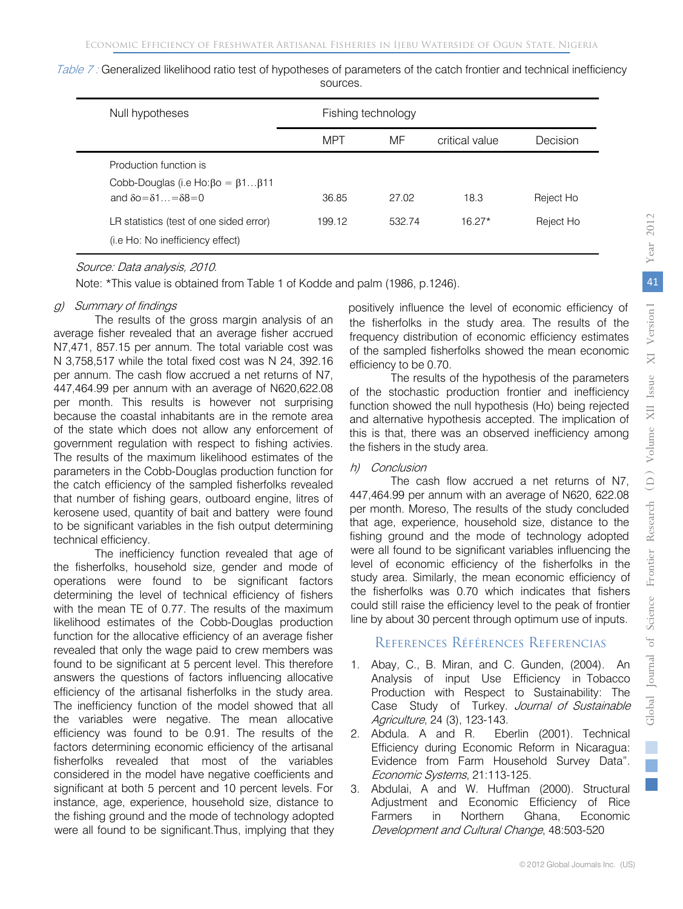| Null hypotheses                                                                                                               |            | Fishing technology |                |           |  |  |
|-------------------------------------------------------------------------------------------------------------------------------|------------|--------------------|----------------|-----------|--|--|
|                                                                                                                               | <b>MPT</b> | MF                 | critical value | Decision  |  |  |
| Production function is<br>Cobb-Douglas (i.e Ho: $\beta$ o = $\beta$ 1 $\beta$ 11<br>and $\delta$ o= $\delta$ 1 = $\delta$ 8=0 | 36.85      | 27.02              | 18.3           | Reject Ho |  |  |
| LR statistics (test of one sided error)<br>( <i>i.e</i> Ho: No inefficiency effect)                                           | 199.12     | 532.74             | $16.27*$       | Reject Ho |  |  |

Table 7: Generalized likelihood ratio test of hypotheses of parameters of the catch frontier and technical inefficiency sources.

#### Source: Data analysis, 2010.

Note: \*This value is obtained from Table 1 of Kodde and palm (1986, p.1246).

#### g) Summary of findings

The results of the gross margin analysis of an average fisher revealed that an average fisher accrued N7,471, 857.15 per annum. The total variable cost was N 3,758,517 while the total fixed cost was N 24, 392.16 per annum. The cash flow accrued a net returns of N7, 447,464.99 per annum with an average of N620,622.08 per month. This results is however not surprising because the coastal inhabitants are in the remote area of the state which does not allow any enforcement of government regulation with respect to fishing activies. The results of the maximum likelihood estimates of the parameters in the Cobb-Douglas production function for the catch efficiency of the sampled fisherfolks revealed that number of fishing gears, outboard engine, litres of kerosene used, quantity of bait and battery were found to be significant variables in the fish output determining technical efficiency.

The inefficiency function revealed that age of the fisherfolks, household size, gender and mode of operations were found to be significant factors determining the level of technical efficiency of fishers with the mean TE of 0.77. The results of the maximum likelihood estimates of the Cobb-Douglas production function for the allocative efficiency of an average fisher revealed that only the wage paid to crew members was found to be significant at 5 percent level. This therefore answers the questions of factors influencing allocative efficiency of the artisanal fisherfolks in the study area. The inefficiency function of the model showed that all the variables were negative. The mean allocative efficiency was found to be 0.91. The results of the factors determining economic efficiency of the artisanal fisherfolks revealed that most of the variables considered in the model have negative coefficients and significant at both 5 percent and 10 percent levels. For instance, age, experience, household size, distance to the fishing ground and the mode of technology adopted were all found to be significant.Thus, implying that they

positively influence the level of economic efficiency of the fisherfolks in the study area. The results of the frequency distribution of economic efficiency estimates of the sampled fisherfolks showed the mean economic efficiency to be 0.70.

The results of the hypothesis of the parameters of the stochastic production frontier and inefficiency function showed the null hypothesis (Ho) being rejected and alternative hypothesis accepted. The implication of this is that, there was an observed inefficiency among the fishers in the study area.

#### h) Conclusion

The cash flow accrued a net returns of N7, 447,464.99 per annum with an average of N620, 622.08 per month. Moreso, The results of the study concluded that age, experience, household size, distance to the fishing ground and the mode of technology adopted were all found to be significant variables influencing the level of economic efficiency of the fisherfolks in the study area. Similarly, the mean economic efficiency of the fisherfolks was 0.70 which indicates that fishers could still raise the efficiency level to the peak of frontier line by about 30 percent through optimum use of inputs.

## References Références Referencias

- 1. Abay, C., B. Miran, and C. Gunden, (2004). An Analysis of input Use Efficiency in Tobacco Production with Respect to Sustainability: The Case Study of Turkey. Journal of Sustainable Agriculture, 24 (3), 123-143.
- 2. Abdula. A and R. Eberlin (2001). Technical Efficiency during Economic Reform in Nicaragua: Evidence from Farm Household Survey Data". Economic Systems, 21:113-125.
- 3. Abdulai, A and W. Huffman (2000). Structural Adjustment and Economic Efficiency of Rice Farmers in Northern Ghana, Economic Development and Cultural Change, 48:503-520

 *2012*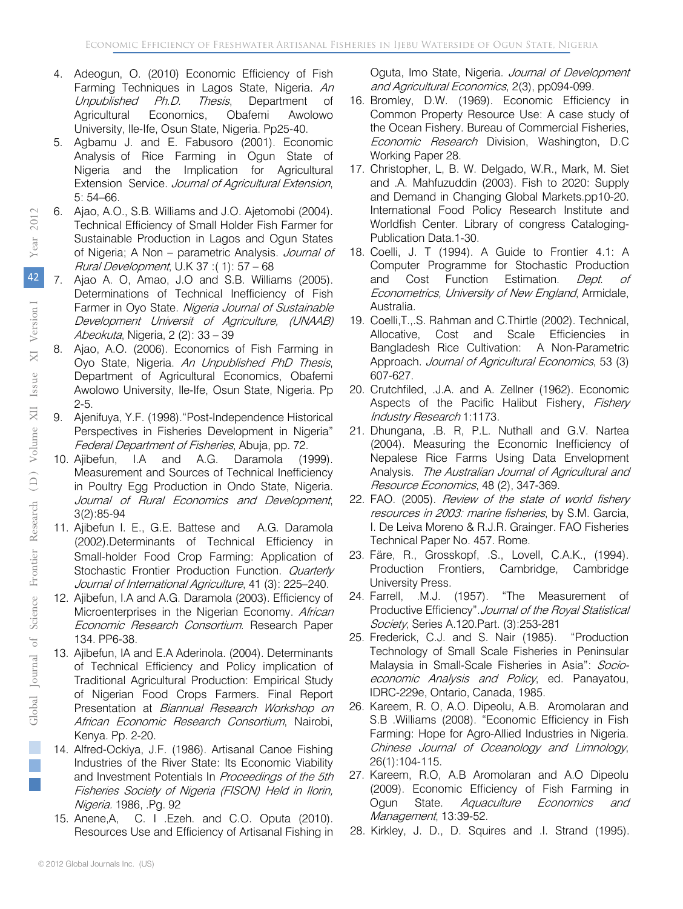- 4. Adeogun, O. (2010) Economic Efficiency of Fish Farming Techniques in Lagos State, Nigeria. An Unpublished Ph.D. Thesis, Department of Agricultural Economics, Obafemi Awolowo University, Ile-Ife, Osun State, Nigeria. Pp25-40.
- 5. Agbamu J. and E. Fabusoro (2001). Economic Analysis of Rice Farming in Ogun State of Nigeria and the Implication for Agricultural Extension Service. Journal of Agricultural Extension, 5: 54–66.
- 6. Ajao, A.O., S.B. Williams and J.O. Ajetomobi (2004). Technical Efficiency of Small Holder Fish Farmer for Sustainable Production in Lagos and Ogun States of Nigeria; A Non - parametric Analysis. Journal of Rural Development, U.K 37 :( 1): 57 – 68
- 7. Ajao A. O, Amao, J.O and S.B. Williams (2005). Determinations of Technical Inefficiency of Fish Farmer in Oyo State. Nigeria Journal of Sustainable Development Universit of Agriculture, (UNAAB) Abeokuta, Nigeria, 2 (2): 33 – 39
- 8. Ajao, A.O. (2006). Economics of Fish Farming in Oyo State, Nigeria. An Unpublished PhD Thesis, Department of Agricultural Economics, Obafemi Awolowo University, Ile-Ife, Osun State, Nigeria. Pp 2-5.
- 9. Ajenifuya, Y.F. (1998)."Post-Independence Historical Perspectives in Fisheries Development in Nigeria" Federal Department of Fisheries, Abuja, pp. 72.
- 10. Ajibefun, I.A and A.G. Daramola (1999). Measurement and Sources of Technical Inefficiency in Poultry Egg Production in Ondo State, Nigeria. Journal of Rural Economics and Development, 3(2):85-94
- 11. Ajibefun I. E., G.E. Battese and A.G. Daramola (2002).Determinants of Technical Efficiency in Small-holder Food Crop Farming: Application of Stochastic Frontier Production Function. Quarterly Journal of International Agriculture, 41 (3): 225–240.
- 12. Ajibefun, I.A and A.G. Daramola (2003). Efficiency of Microenterprises in the Nigerian Economy. African Economic Research Consortium. Research Paper 134. PP6-38.
- 13. Ajibefun, IA and E.A Aderinola. (2004). Determinants of Technical Efficiency and Policy implication of Traditional Agricultural Production: Empirical Study of Nigerian Food Crops Farmers. Final Report Presentation at Biannual Research Workshop on African Economic Research Consortium, Nairobi, Kenya. Pp. 2-20.
- 14. Alfred-Ockiya, J.F. (1986). Artisanal Canoe Fishing Industries of the River State: Its Economic Viability and Investment Potentials In Proceedings of the 5th Fisheries Society of Nigeria (FISON) Held in Ilorin, Nigeria. 1986, .Pg. 92
- 15. Anene,A, C. I .Ezeh. and C.O. Oputa (2010). Resources Use and Efficiency of Artisanal Fishing in

Oguta, Imo State, Nigeria. Journal of Development and Agricultural Economics, 2(3), pp094-099.

- 16. Bromley, D.W. (1969). Economic Efficiency in Common Property Resource Use: A case study of the Ocean Fishery. Bureau of Commercial Fisheries, Economic Research Division, Washington, D.C Working Paper 28.
- 17. Christopher, L, B. W. Delgado, W.R., Mark, M. Siet and .A. Mahfuzuddin (2003). Fish to 2020: Supply and Demand in Changing Global Markets.pp10-20. International Food Policy Research Institute and Worldfish Center. Library of congress Cataloging-Publication Data.1-30.
- 18. Coelli, J. T (1994). A Guide to Frontier 4.1: A Computer Programme for Stochastic Production and Cost Function Estimation. Dept. of Econometrics, University of New England, Armidale, Australia.
- 19. Coelli,T.,.S. Rahman and C.Thirtle (2002). Technical, Allocative, Cost and Scale Efficiencies in Bangladesh Rice Cultivation: A Non-Parametric Approach. Journal of Agricultural Economics, 53 (3) 607-627.
- 20. Crutchfiled, .J.A. and A. Zellner (1962). Economic Aspects of the Pacific Halibut Fishery, Fishery Industry Research 1:1173.
- 21. Dhungana, .B. R, P.L. Nuthall and G.V. Nartea (2004). Measuring the Economic Inefficiency of Nepalese Rice Farms Using Data Envelopment Analysis. The Australian Journal of Agricultural and Resource Economics, 48 (2), 347-369.
- 22. FAO. (2005). Review of the state of world fishery resources in 2003: marine fisheries, by S.M. Garcia, I. De Leiva Moreno & R.J.R. Grainger. FAO Fisheries Technical Paper No. 457. Rome.
- 23. Färe, R., Grosskopf, .S., Lovell, C.A.K., (1994). Production Frontiers, Cambridge, Cambridge University Press.
- 24. Farrell, .M.J. (1957). "The Measurement of Productive Efficiency".Journal of the Royal Statistical Society, Series A.120.Part. (3):253-281
- 25. Frederick, C.J. and S. Nair (1985). "Production Technology of Small Scale Fisheries in Peninsular Malaysia in Small-Scale Fisheries in Asia": Socioeconomic Analysis and Policy, ed. Panayatou, IDRC-229e, Ontario, Canada, 1985.
- 26. Kareem, R. O, A.O. Dipeolu, A.B. Aromolaran and S.B .Williams (2008). "Economic Efficiency in Fish Farming: Hope for Agro-Allied Industries in Nigeria. Chinese Journal of Oceanology and Limnology, 26(1):104-115.
- 27. Kareem, R.O, A.B Aromolaran and A.O Dipeolu (2009). Economic Efficiency of Fish Farming in Ogun State. Aquaculture Economics and Management, 13:39-52.
- 28. Kirkley, J. D., D. Squires and .I. Strand (1995).